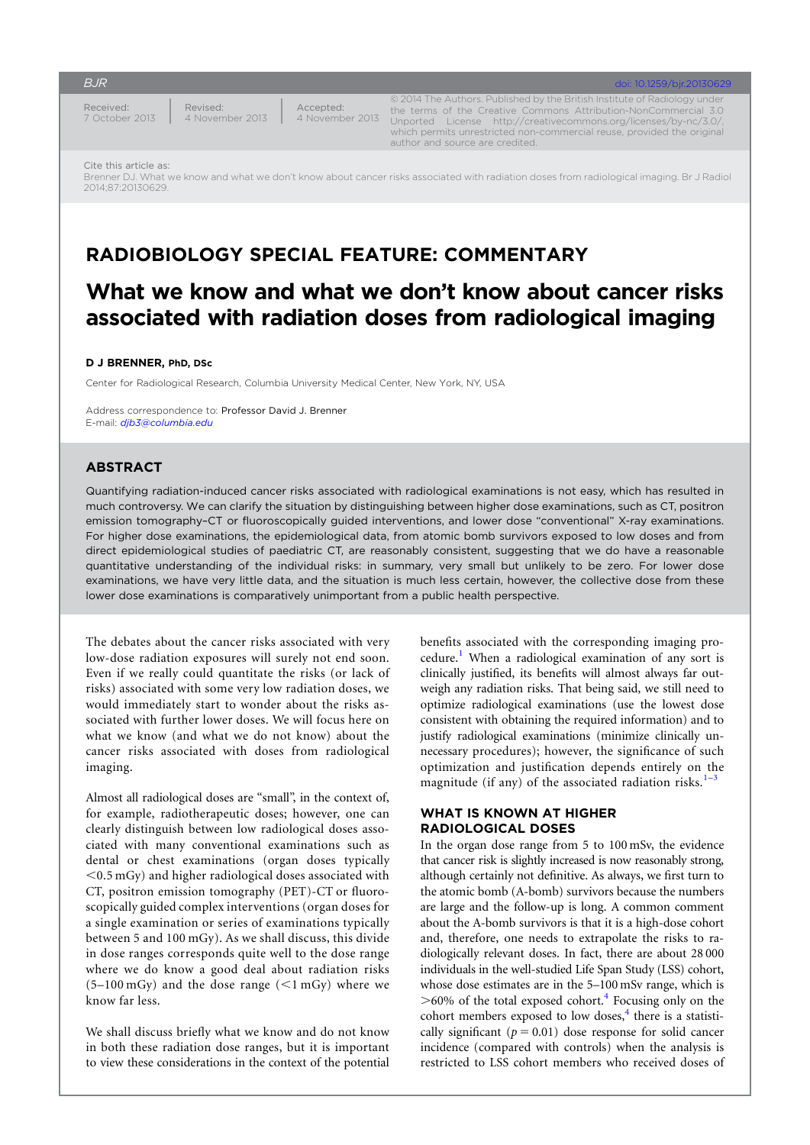Received: 7 October 2013 Revised: 4 November 2013

Accepted: 4 November 2013

© 2014 The Authors. Published by the British Institute of Radiology under the terms of the Creative Commons Attribution-NonCommercial 3.0 Unported License http://creativecommons.org/licenses/by-nc/3.0/, which permits unrestricted non-commercial reuse, provided the original author and source are credited.

Cite this article as:

Brenner DJ. What we know and what we don't know about cancer risks associated with radiation doses from radiological imaging. Br J Radiol 2014;87:20130629.

## RADIOBIOLOGY SPECIAL FEATURE: COMMENTARY

# What we know and what we don't know about cancer risks associated with radiation doses from radiological imaging

#### D J BRENNER, PhD, DSc

Center for Radiological Research, Columbia University Medical Center, New York, NY, USA

Address correspondence to: Professor David J. Brenner E-mail: [djb3@columbia.edu](mailto:djb3@columbia.edu)

#### ABSTRACT

Quantifying radiation-induced cancer risks associated with radiological examinations is not easy, which has resulted in much controversy. We can clarify the situation by distinguishing between higher dose examinations, such as CT, positron emission tomography–CT or fluoroscopically guided interventions, and lower dose "conventional" X-ray examinations. For higher dose examinations, the epidemiological data, from atomic bomb survivors exposed to low doses and from direct epidemiological studies of paediatric CT, are reasonably consistent, suggesting that we do have a reasonable quantitative understanding of the individual risks: in summary, very small but unlikely to be zero. For lower dose examinations, we have very little data, and the situation is much less certain, however, the collective dose from these lower dose examinations is comparatively unimportant from a public health perspective.

The debates about the cancer risks associated with very low-dose radiation exposures will surely not end soon. Even if we really could quantitate the risks (or lack of risks) associated with some very low radiation doses, we would immediately start to wonder about the risks associated with further lower doses. We will focus here on what we know (and what we do not know) about the cancer risks associated with doses from radiological imaging.

Almost all radiological doses are "small", in the context of, for example, radiotherapeutic doses; however, one can clearly distinguish between low radiological doses associated with many conventional examinations such as dental or chest examinations (organ doses typically  $<$ 0.5 mGy) and higher radiological doses associated with CT, positron emission tomography (PET)-CT or fluoroscopically guided complex interventions (organ doses for a single examination or series of examinations typically between 5 and 100 mGy). As we shall discuss, this divide in dose ranges corresponds quite well to the dose range where we do know a good deal about radiation risks  $(5-100 \text{ mGy})$  and the dose range  $(<1 \text{ mGy})$  where we know far less.

We shall discuss briefly what we know and do not know in both these radiation dose ranges, but it is important to view these considerations in the context of the potential

benefits associated with the corresponding imaging procedure.[1](#page-2-0) When a radiological examination of any sort is clinically justified, its benefits will almost always far outweigh any radiation risks. That being said, we still need to optimize radiological examinations (use the lowest dose consistent with obtaining the required information) and to justify radiological examinations (minimize clinically unnecessary procedures); however, the significance of such optimization and justification depends entirely on the magnitude (if any) of the associated radiation risks.<sup>[1](#page-2-0)–[3](#page-2-0)</sup>

### WHAT IS KNOWN AT HIGHER RADIOLOGICAL DOSES

In the organ dose range from 5 to 100 mSv, the evidence that cancer risk is slightly increased is now reasonably strong, although certainly not definitive. As always, we first turn to the atomic bomb (A-bomb) survivors because the numbers are large and the follow-up is long. A common comment about the A-bomb survivors is that it is a high-dose cohort and, therefore, one needs to extrapolate the risks to radiologically relevant doses. In fact, there are about 28 000 individuals in the well-studied Life Span Study (LSS) cohort, whose dose estimates are in the 5–100 mSv range, which is  $>60\%$  of the total exposed cohort.<sup>4</sup> Focusing only on the cohort members exposed to low doses, $4$  there is a statistically significant ( $p = 0.01$ ) dose response for solid cancer incidence (compared with controls) when the analysis is restricted to LSS cohort members who received doses of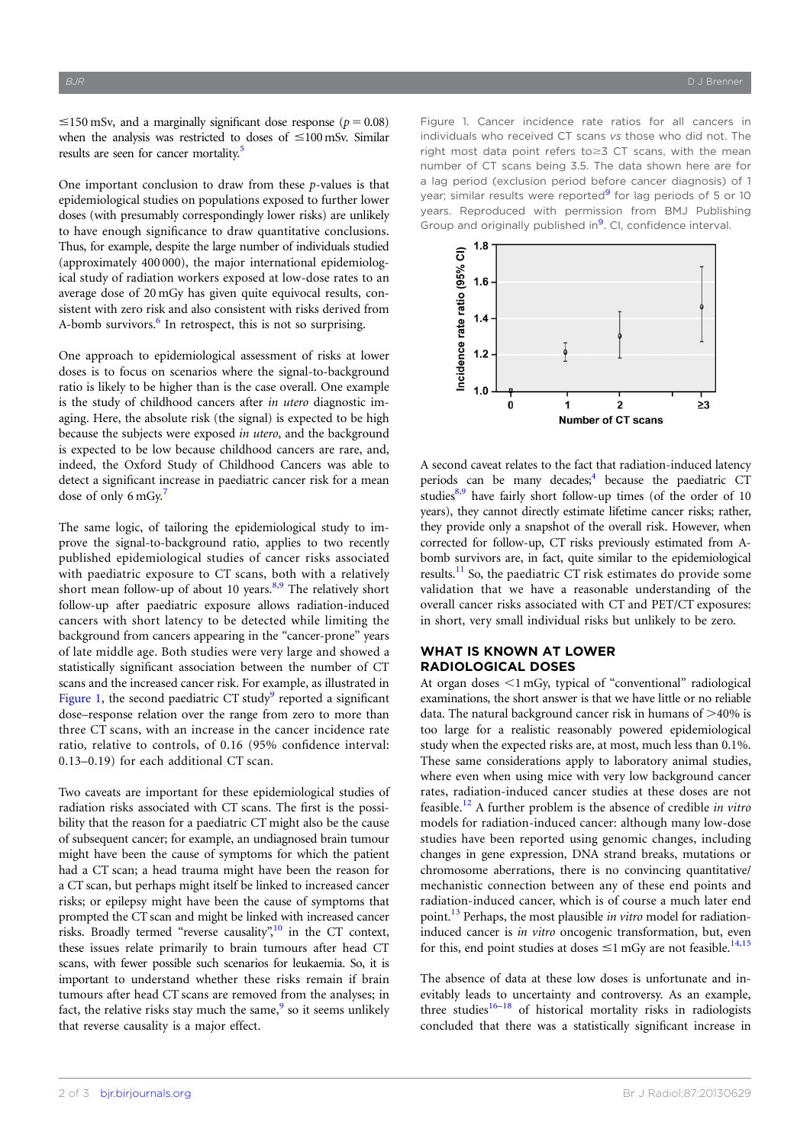One important conclusion to draw from these  $p$ -values is that epidemiological studies on populations exposed to further lower doses (with presumably correspondingly lower risks) are unlikely to have enough significance to draw quantitative conclusions. Thus, for example, despite the large number of individuals studied (approximately 400 000), the major international epidemiological study of radiation workers exposed at low-dose rates to an average dose of 20 mGy has given quite equivocal results, consistent with zero risk and also consistent with risks derived from A-bomb survivors.<sup>[6](#page-2-0)</sup> In retrospect, this is not so surprising.

One approach to epidemiological assessment of risks at lower doses is to focus on scenarios where the signal-to-background ratio is likely to be higher than is the case overall. One example is the study of childhood cancers after in utero diagnostic imaging. Here, the absolute risk (the signal) is expected to be high because the subjects were exposed in utero, and the background is expected to be low because childhood cancers are rare, and, indeed, the Oxford Study of Childhood Cancers was able to detect a significant increase in paediatric cancer risk for a mean dose of only 6 mGy.<sup>[7](#page-2-0)</sup>

The same logic, of tailoring the epidemiological study to improve the signal-to-background ratio, applies to two recently published epidemiological studies of cancer risks associated with paediatric exposure to CT scans, both with a relatively short mean follow-up of about 10 years.<sup>[8,9](#page-2-0)</sup> The relatively short follow-up after paediatric exposure allows radiation-induced cancers with short latency to be detected while limiting the background from cancers appearing in the "cancer-prone" years of late middle age. Both studies were very large and showed a statistically significant association between the number of CT scans and the increased cancer risk. For example, as illustrated in Figure 1, the second paediatric CT study<sup>[9](#page-2-0)</sup> reported a significant dose–response relation over the range from zero to more than three CT scans, with an increase in the cancer incidence rate ratio, relative to controls, of 0.16 (95% confidence interval: 0.13–0.19) for each additional CT scan.

Two caveats are important for these epidemiological studies of radiation risks associated with CT scans. The first is the possibility that the reason for a paediatric CT might also be the cause of subsequent cancer; for example, an undiagnosed brain tumour might have been the cause of symptoms for which the patient had a CT scan; a head trauma might have been the reason for a CT scan, but perhaps might itself be linked to increased cancer risks; or epilepsy might have been the cause of symptoms that prompted the CT scan and might be linked with increased cancer risks. Broadly termed "reverse causality",<sup>[10](#page-2-0)</sup> in the CT context, these issues relate primarily to brain tumours after head CT scans, with fewer possible such scenarios for leukaemia. So, it is important to understand whether these risks remain if brain tumours after head CT scans are removed from the analyses; in fact, the relative risks stay much the same, $9$  so it seems unlikely that reverse causality is a major effect.

Figure 1. Cancer incidence rate ratios for all cancers in individuals who received CT scans vs those who did not. The right most data point refers to $\geq$ 3 CT scans, with the mean number of CT scans being 3.5. The data shown here are for a lag period (exclusion period before cancer diagnosis) of 1 year; similar results were reported<sup>[9](#page-2-0)</sup> for lag periods of 5 or 10 years. Reproduced with permission from BMJ Publishing Group and originally published in<sup>[9](#page-2-0)</sup>. CI, confidence interval.



A second caveat relates to the fact that radiation-induced latency periods can be many decades; $4$  because the paediatric CT studies $8,9$  have fairly short follow-up times (of the order of 10 years), they cannot directly estimate lifetime cancer risks; rather, they provide only a snapshot of the overall risk. However, when corrected for follow-up, CT risks previously estimated from Abomb survivors are, in fact, quite similar to the epidemiological results. $^{11}$  $^{11}$  $^{11}$  So, the paediatric CT risk estimates do provide some validation that we have a reasonable understanding of the overall cancer risks associated with CT and PET/CT exposures: in short, very small individual risks but unlikely to be zero.

#### WHAT IS KNOWN AT LOWER RADIOLOGICAL DOSES

At organ doses  $\leq 1$  mGy, typical of "conventional" radiological examinations, the short answer is that we have little or no reliable data. The natural background cancer risk in humans of  $>40\%$  is too large for a realistic reasonably powered epidemiological study when the expected risks are, at most, much less than 0.1%. These same considerations apply to laboratory animal studies, where even when using mice with very low background cancer rates, radiation-induced cancer studies at these doses are not feasible.<sup>[12](#page-2-0)</sup> A further problem is the absence of credible in vitro models for radiation-induced cancer: although many low-dose studies have been reported using genomic changes, including changes in gene expression, DNA strand breaks, mutations or chromosome aberrations, there is no convincing quantitative/ mechanistic connection between any of these end points and radiation-induced cancer, which is of course a much later end point.<sup>[13](#page-2-0)</sup> Perhaps, the most plausible *in vitro* model for radiationinduced cancer is in vitro oncogenic transformation, but, even for this, end point studies at doses  $\leq$ 1 mGy are not feasible.<sup>[14,15](#page-2-0)</sup>

The absence of data at these low doses is unfortunate and inevitably leads to uncertainty and controversy. As an example, three studies $16-18$  $16-18$  $16-18$  of historical mortality risks in radiologists concluded that there was a statistically significant increase in